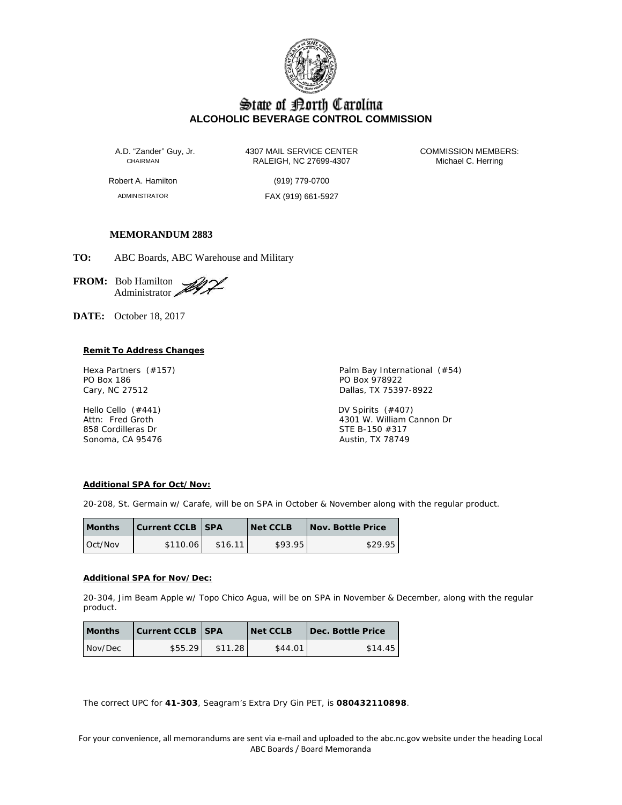

# State of Borth Carolina **ALCOHOLIC BEVERAGE CONTROL COMMISSION**

A.D. "Zander" Guy, Jr. 4307 MAIL SERVICE CENTER COMMISSION MEMBERS:<br>CHAIRMAN RALEIGH, NC 27699-4307 Michael C. Herring RALEIGH, NC 27699-4307

Robert A. Hamilton (919) 779-0700

ADMINISTRATOR FAX (919) 661-5927

# **MEMORANDUM 2883**

**TO:** ABC Boards, ABC Warehouse and Military

**FROM:** Bob Hamilton Administrator

**DATE:** October 18, 2017

# **Remit To Address Changes**

PO Box 186 **PO Box 978922** Cary, NC 27512 **Dallas, TX 75397-8922** 

858 Cordilleras Dr Sonoma, CA 95476 **Austin, TX 78749** Austin, TX 78749

Hexa Partners (#157) **Palm Bay International (#54)** Palm Bay International (#54)

Hello Cello (#441) DV Spirits (#407) 4301 W. William Cannon Dr<br>STE B-150 #317

# **Additional SPA for Oct/Nov:**

20-208, St. Germain w/ Carafe, will be on SPA in October & November along with the regular product.

| <b>Months</b> | <b>Current CCLB   SPA</b> |         | Net CCLB | Nov. Bottle Price |
|---------------|---------------------------|---------|----------|-------------------|
| Oct/Nov       | \$110.06                  | \$16.11 | \$93.95  | \$29.95           |

#### **Additional SPA for Nov/Dec:**

20-304, Jim Beam Apple w/ Topo Chico Agua, will be on SPA in November & December, along with the regular product.

| <b>Months</b> | <b>Current CCLB SPA</b> |         | <b>Net CCLB</b> | Dec. Bottle Price |
|---------------|-------------------------|---------|-----------------|-------------------|
| Nov/Dec       | \$55.29                 | \$11.28 | \$44.01         | \$14.45           |

The correct UPC for **41-303**, Seagram's Extra Dry Gin PET, is **080432110898**.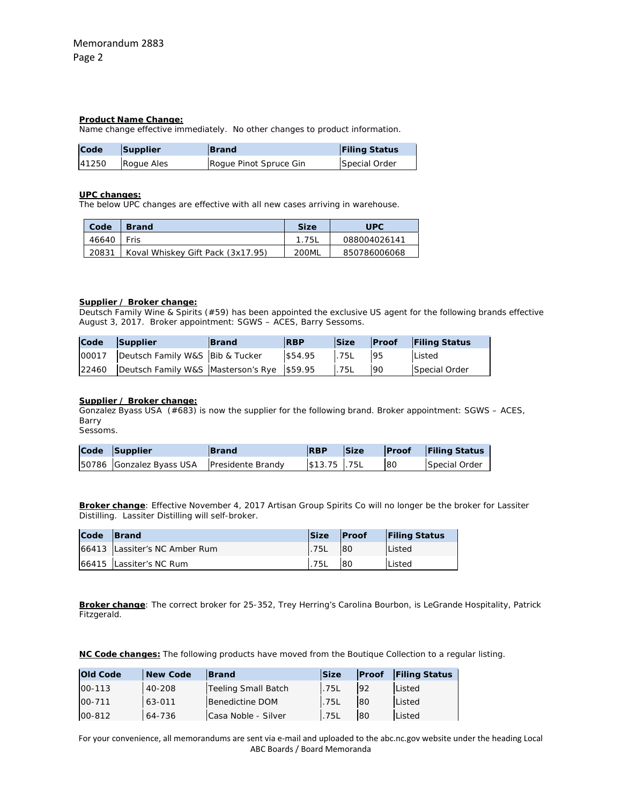#### **Product Name Change:**

Name change effective immediately. No other changes to product information.

| Code  | Supplier   | <b>Brand</b>           | <b>Filing Status</b> |
|-------|------------|------------------------|----------------------|
| 41250 | Roque Ales | Roque Pinot Spruce Gin | Special Order        |

### **UPC changes:**

The below UPC changes are effective with all new cases arriving in warehouse.

| Code  | <b>Brand</b>                      | <b>Size</b> | <b>UPC</b>   |
|-------|-----------------------------------|-------------|--------------|
| 46640 | Fris                              | 1.75L       | 088004026141 |
| 20831 | Koval Whiskey Gift Pack (3x17.95) | 200ML       | 850786006068 |

# **Supplier / Broker change:**

Deutsch Family Wine & Spirits (#59) has been appointed the exclusive US agent for the following brands effective August 3, 2017. Broker appointment: SGWS – ACES, Barry Sessoms.

| Code Supplier                                          | <b>Brand</b> | <b>RBP</b>       |      |    | Size Proof Filing Status |
|--------------------------------------------------------|--------------|------------------|------|----|--------------------------|
| 00017 Deutsch Family W&S Bib & Tucker                  |              | $$54.95$ .75L 95 |      |    | Listed                   |
| 22460   Deutsch Family W&S   Masterson's Rye   \$59.95 |              |                  | .75L | 90 | Special Order            |

# **Supplier / Broker change:**

Gonzalez Byass USA (#683) is now the supplier for the following brand. Broker appointment: SGWS – ACES, Barry Sessoms.

| Code Supplier                              | <b>Brand</b> | <b>RBP</b>    | Size |    | <b>Proof</b> Filing Status |
|--------------------------------------------|--------------|---------------|------|----|----------------------------|
| 50786 Gonzalez Byass USA Presidente Brandy |              | $$13.75$ .75L |      | 80 | Special Order              |

**Broker change**: Effective November 4, 2017 Artisan Group Spirits Co will no longer be the broker for Lassiter Distilling. Lassiter Distilling will self-broker.

| Code | <b>Brand</b>                  | <b>Size</b> | <b>Proof</b> | <b>Filing Status</b> |
|------|-------------------------------|-------------|--------------|----------------------|
|      | 66413 Lassiter's NC Amber Rum | .75L        | 80           | <b>Listed</b>        |
|      | 66415 Lassiter's NC Rum       | 75L         | 80           | Listed               |

**Broker change**: The correct broker for 25-352, Trey Herring's Carolina Bourbon, is LeGrande Hospitality, Patrick Fitzgerald.

**NC Code changes:** The following products have moved from the Boutique Collection to a regular listing.

| <b>Old Code</b> | <b>New Code</b> | <b>Brand</b>               | <b>Size</b> | <b>Proof</b> | Filing Status |
|-----------------|-----------------|----------------------------|-------------|--------------|---------------|
| 00-113          | 40-208          | <b>Teeling Small Batch</b> | .75L        | 92           | Listed        |
| 00-711          | 63-011          | Benedictine DOM            | .75L        | 80           | Listed        |
| 00-812          | 64-736          | Casa Noble - Silver        | <b>.75L</b> | 80           | Listed        |

For your convenience, all memorandums are sent via e‐mail and uploaded to the abc.nc.gov website under the heading Local ABC Boards / Board Memoranda